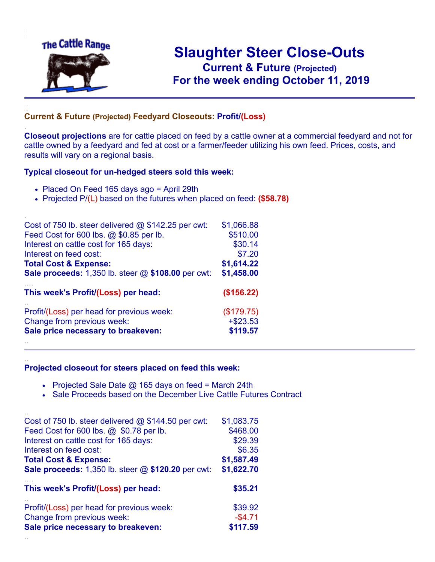

.

..

## **Slaughter Steer Close-Outs Current & Future (Projected)** .**For the week ending October 11, 2019**

## **Current & Future (Projected) Feedyard Closeouts: Profit/(Loss)**

**Closeout projections** are for cattle placed on feed by a cattle owner at a commercial feedyard and not for cattle owned by a feedyard and fed at cost or a farmer/feeder utilizing his own feed. Prices, costs, and results will vary on a regional basis.

## **Typical closeout for un-hedged steers sold this week:**

- Placed On Feed 165 days ago = April 29th
- Projected P/(L) based on the futures when placed on feed: **(\$58.78)**

| Cost of 750 lb. steer delivered $@$ \$142.25 per cwt:     | \$1,066.88  |
|-----------------------------------------------------------|-------------|
| Feed Cost for 600 lbs. @ \$0.85 per lb.                   | \$510.00    |
| Interest on cattle cost for 165 days:                     | \$30.14     |
| Interest on feed cost:                                    | \$7.20      |
| <b>Total Cost &amp; Expense:</b>                          | \$1,614.22  |
| <b>Sale proceeds:</b> 1,350 lb. steer @ \$108.00 per cwt: | \$1,458.00  |
| This week's Profit/(Loss) per head:                       | (\$156.22)  |
| Profit/(Loss) per head for previous week:                 | (\$179.75)  |
| Change from previous week:                                | $+$ \$23.53 |
| Sale price necessary to breakeven:                        | \$119.57    |
|                                                           |             |

## **Projected closeout for steers placed on feed this week:**

- Projected Sale Date  $@$  165 days on feed = March 24th
- Sale Proceeds based on the December Live Cattle Futures Contract

| Cost of 750 lb. steer delivered $@$ \$144.50 per cwt:     | \$1,083.75 |
|-----------------------------------------------------------|------------|
| Feed Cost for 600 lbs. @ \$0.78 per lb.                   | \$468.00   |
| Interest on cattle cost for 165 days:                     | \$29.39    |
| Interest on feed cost:                                    | \$6.35     |
| <b>Total Cost &amp; Expense:</b>                          | \$1,587.49 |
| <b>Sale proceeds:</b> 1,350 lb. steer @ \$120.20 per cwt: | \$1,622.70 |
| This week's Profit/(Loss) per head:                       | \$35.21    |
| Profit/(Loss) per head for previous week:                 | \$39.92    |
| Change from previous week:                                | $-$4.71$   |
| Sale price necessary to breakeven:                        | \$117.59   |
|                                                           |            |